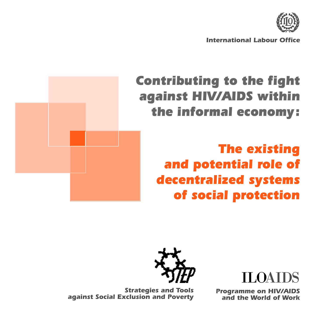

*International Labour Office*

## *Contributing to the fight against HIV/AIDS within the informal economy :*

*The existing and potential role of decentralized systems of social protection*



ILOAIDS

*Programme on HIV/AIDS and the World of Work*

*Strategies and Tools against Social Exclusion and Poverty*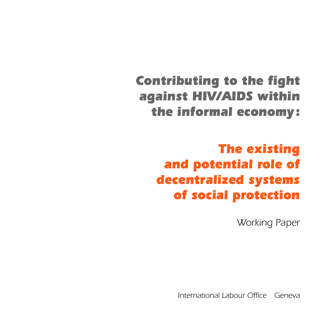## *Contributing to the fight against HIV/AIDS within the informal economy :*

## *The existing and potential role of decentralized systems of social protection*

*Working Paper*

*International Labour Office Geneva*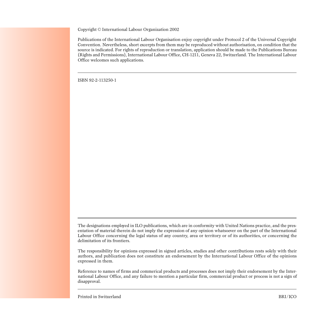Copyright *©* International Labour Organization 2002

Publications of the International Labour Organisation enjoy copyright under Protocol 2 of the Universal Copyright Convention. Nevertheless, short excerpts from them may be reproduced without authorisation, on condition that the source is indicated. For rights of reproduction or translation, application should be made to the Publications Bureau (Rights and Permissions), International Labour Office, CH-1211, Geneva 22, Switzerland. The International Labour Office welcomes such applications.

ISBN 92-2-113250-1

The designations employed in ILO publications, which are in conformity with United Nations practice, and the presentation of material therein do not imply the expression of any opinion whatsoever on the part of the International Labour Office concerning the legal status of any country, area or territory or of its authorities, or concerning the delimitation of its frontiers.

The responsibility for opinions expressed in signed articles, studies and other contributions rests solely with their authors, and publication does not constitute an endorsement by the International Labour Office of the opinions expressed in them.

Reference to names of firms and commerical products and processes does not imply their endorsement by the International Labour Office, and any failure to mention a particular firm, commercial product or process is not a sign of disapproval.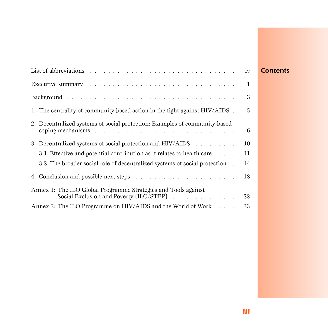|                                                                                                                                                                         | iv           |
|-------------------------------------------------------------------------------------------------------------------------------------------------------------------------|--------------|
|                                                                                                                                                                         | $\mathbf{1}$ |
|                                                                                                                                                                         | 3            |
| 1. The centrality of community-based action in the fight against HIV/AIDS.                                                                                              | 5            |
| 2. Decentralized systems of social protection: Examples of community-based<br>coping mechanisms $\ldots \ldots \ldots \ldots \ldots \ldots \ldots \ldots \ldots \ldots$ | 6            |
| 3. Decentralized systems of social protection and HIV/AIDS $\dots \dots \dots$                                                                                          | 10           |
| 3.1 Effective and potential contribution as it relates to health care $\dots$ .                                                                                         | 11           |
| 3.2 The broader social role of decentralized systems of social protection.                                                                                              | 14           |
|                                                                                                                                                                         | 18           |
| Annex 1: The ILO Global Programme Strategies and Tools against<br>Social Exclusion and Poverty (ILO/STEP)                                                               | 22           |
| Annex 2: The ILO Programme on HIV/AIDS and the World of Work                                                                                                            | 23           |

## *Contents*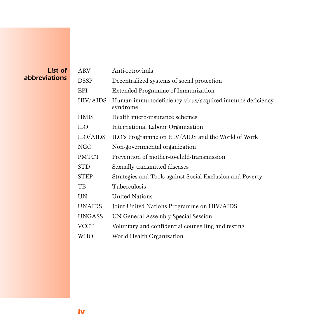### *List of abbreviations*

| <b>ARV</b>      | Anti-retrovirals                                                    |
|-----------------|---------------------------------------------------------------------|
| <b>DSSP</b>     | Decentralized systems of social protection                          |
| EPI             | Extended Programme of Immunization                                  |
| <b>HIV/AIDS</b> | Human immunodeficiency virus/acquired immune deficiency<br>syndrome |
| <b>HMIS</b>     | Health micro-insurance schemes                                      |
| <b>ILO</b>      | International Labour Organization                                   |
| ILO/AIDS        | ILO's Programme on HIV/AIDS and the World of Work                   |
| <b>NGO</b>      | Non-governmental organization                                       |
| <b>PMTCT</b>    | Prevention of mother-to-child-transmission                          |
| <b>STD</b>      | Sexually transmitted diseases                                       |
| <b>STEP</b>     | Strategies and Tools against Social Exclusion and Poverty           |
| TB              | Tuberculosis                                                        |
| <b>UN</b>       | <b>United Nations</b>                                               |
| <b>UNAIDS</b>   | Joint United Nations Programme on HIV/AIDS                          |
| <b>UNGASS</b>   | UN General Assembly Special Session                                 |
| <b>VCCT</b>     | Voluntary and confidential counselling and testing                  |
| WHO             | World Health Organization                                           |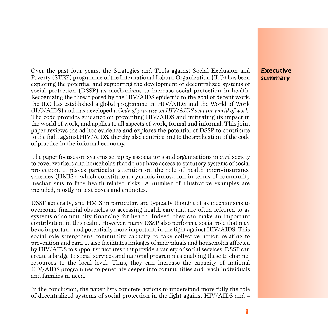Over the past four years, the Strategies and Tools against Social Exclusion and Poverty (STEP) programme of the International Labour Organization (ILO) has been exploring the potential and supporting the development of decentralized systems of social protection (DSSP) as mechanisms to increase social protection in health. Recognizing the threat posed by the HIV/AIDS epidemic to the goal of decent work, the ILO has established a global programme on HIV/AIDS and the World of Work (ILO/AIDS) and has developed a *Code of practice on HIV/AIDS and the world of work*. The code provides guidance on preventing HIV/AIDS and mitigating its impact in the world of work, and applies to all aspects of work, formal and informal. This joint paper reviews the ad hoc evidence and explores the potential of DSSP to contribute to the fight against HIV/AIDS, thereby also contributing to the application of the code of practice in the informal economy.

The paper focuses on systems set up by associations and organizations in civil society to cover workers and households that do not have access to statutory systems of social protection. It places particular attention on the role of health micro-insurance schemes (HMIS), which constitute a dynamic innovation in terms of community mechanisms to face health-related risks. A number of illustrative examples are included, mostly in text boxes and endnotes.

DSSP generally, and HMIS in particular, are typically thought of as mechanisms to overcome financial obstacles to accessing health care and are often referred to as systems of community financing for health. Indeed, they can make an important contribution in this realm. However, many DSSP also perform a social role that may be as important, and potentially more important, in the fight against HIV/AIDS. This social role strengthens community capacity to take collective action relating to p revention and care. It also facilitates linkages of individuals and households affected by HIV/AIDS to support structures that provide a variety of social services. DSSP can create a bridge to social services and national programmes enabling these to channel resources to the local level. Thus, they can increase the capacity of national HIV/AIDS programmes to penetrate deeper into communities and reach individuals and families in need.

In the conclusion, the paper lists concrete actions to understand more fully the role of decentralized systems of social protection in the fight against HIV/AIDS and –

### *Executive summary*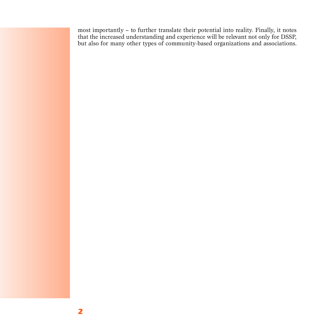most importantly - to further translate their potential into reality. Finally, it notes that the increased understanding and experience will be relevant not only for DSSP, but also for many other types of community-based organizations and associations.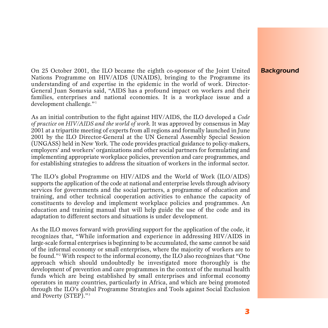On 25 October 2001, the ILO became the eighth co-sponsor of the Joint United Nations Programme on HIV/AIDS (UNAIDS), bringing to the Programme its understanding of and expertise in the epidemic in the world of work. Director-General Juan Somavia said, "AIDS has a profound impact on workers and their families, enterprises and national economies. It is a workplace issue and a development challenge."<sup>1</sup>

As an initial contribution to the fight against HIV/AIDS, the ILO developed a *Code of practice on HIV/AIDS and the world of work*. It was approved by consensus in May 2001 at a tripartite meeting of experts from all regions and formally launched in June 2001 by the ILO Director-General at the UN General Assembly Special Session (UNGASS) held in New York. The code provides practical guidance to policy-makers, employers' and workers' organizations and other social partners for formulating and implementing appropriate workplace policies, prevention and care programmes, and for establishing strategies to address the situation of workers in the informal sector.

The ILO's global Programme on HIV/AIDS and the World of Work (ILO/AIDS) supports the application of the code at national and enterprise levels through advisory services for governments and the social partners, a programme of education and t raining, and other technical cooperation activities to enhance the capacity of constituents to develop and implement workplace policies and programmes. An education and training manual that will help guide the use of the code and its adaptation to different sectors and situations is under development.

As the ILO moves forward with providing support for the application of the code, it recognizes that, "While information and experience in addressing HIV/AIDS in large-scale formal enterprises is beginning to be accumulated, the same cannot be said of the informal economy or small enterprises, where the majority of workers are to be found."<sup>2</sup> With respect to the informal economy, the ILO also recognizes that "One approach which should undoubtedly be investigated more thoroughly is the development of prevention and care programmes in the context of the mutual health funds which are being established by small enterprises and informal economy operators in many countries, particularly in Africa, and which are being promoted through the ILO's global Programme Strategies and Tools against Social Exclusion and Poverty (STEP)."<sup>3</sup>

## *Background*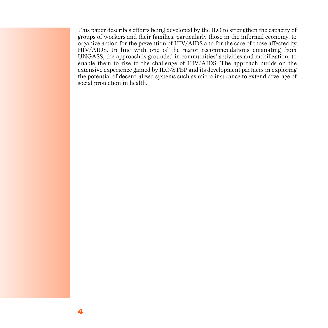This paper describes efforts being developed by the ILO to strengthen the capacity of groups of workers and their families, particularly those in the informal economy, to organize action for the prevention of HIV/AIDS and for the care of those affected by HIV/AIDS. In line with one of the major recommendations emanating from UNGASS, the approach is grounded in communities' activities and mobilization, to enable them to rise to the challenge of HIV/AIDS. The approach builds on the extensive experience gained by ILO/STEP and its development partners in exploring the potential of decentralized systems such as micro-insurance to extend coverage of social protection in health.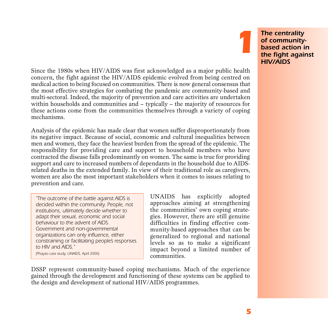Since the 1980s when HIV/AIDS was first acknowledged as a major public health concern, the fight against the HIV/AIDS epidemic evolved from being centred on medical action to being focused on communities. There is now general consensus that the most effective strategies for combating the pandemic are community-based and multi-sectoral. Indeed, the majority of prevention and care activities are undertaken within households and communities and – typically – the majority of resources for these actions come from the communities themselves through a variety of coping mechanisms.

Analysis of the epidemic has made clear that women suffer disproportionately from its negative impact. Because of social, economic and cultural inequalities between men and women, they face the heaviest burden from the spread of the epidemic. The responsibility for providing care and support to household members who have contracted the disease falls predominantly on women. The same is true for providing support and care to increased numbers of dependants in the household due to AIDSrelated deaths in the extended family. In view of their traditional role as caregivers, women are also the most important stakeholders when it comes to issues relating to prevention and care.

*"The outcome of the battle against AIDS is decided within the community. People, not institutions, ultimately decide whether to adapt their sexual, economic and social behaviour to the advent of AIDS. Government and non-governmental organizations can only influence, either constraining or facilitating people's responses to HIV and AIDS." (Phayao case study, UNAIDS, April 2000)*

UNAIDS has explicitly adopted a p p roaches aiming at strengthening the communities' own coping strategies. However, there are still genuine difficulties in finding effective community-based approaches that can be generalized to regional and national levels so as to make a significant impact beyond a limited number of communities.

DSSP represent community-based coping mechanisms. Much of the experience gained through the development and functioning of these systems can be applied to the design and development of national HIV/AIDS programmes.

*The centrality of communitybased action in the fight against HIV/AIDS*

*1*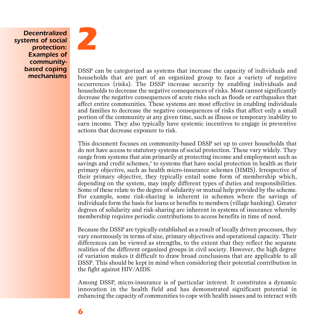*Decentralized systems of social protection: Examples of communitybased coping mechanisms*



DSSP can be categorized as systems that increase the capacity of individuals and households that are part of an organized group to face a variety of negative occurrences (risks). The DSSP increase security by enabling individuals and households to decrease the negative consequences of risks. Most cannot significantly decrease the negative consequences of acute risks such as floods or earthquakes that affect entire communities. These systems are most effective in enabling individuals and families to decrease the negative consequences of risks that affect only a small portion of the community at any given time, such as illness or temporary inability to earn income. They also typically have systemic incentives to engage in preventive actions that decrease exposure to risk.

This document focuses on community-based DSSP set up to cover households that do not have access to statutory systems of social protection. These vary widely. They range from systems that aim primarily at protecting income and employment such as savings and credit schemes, $^{\text{4}}$  to systems that have social protection in health as their primary objective, such as health micro-insurance schemes (HMIS). Irrespective of their primary objective, they typically entail some form of membership which, depending on the system, may imply different types of duties and responsibilities. Some of these relate to the degree of solidarity or mutual help provided by the scheme. For example, some risk-sharing is inherent in schemes where the savings of individuals form the basis for loans or benefits to members (village banking). Greater degrees of solidarity and risk-sharing are inherent in systems of insurance whereby membership requires periodic contributions to access benefits in time of need.

Because the DSSP are typically established as a result of locally driven processes, they vary enormously in terms of size, primary objectives and operational capacity. Their differences can be viewed as strengths, to the extent that they reflect the separate realities of the different organized groups in civil society. However, the high degree of variation makes it difficult to draw broad conclusions that are applicable to all DSSP. This should be kept in mind when considering their potential contribution in the fight against HIV/AIDS.

Among DSSP, micro-insurance is of particular interest. It constitutes a dynamic in novation in the health field and has demonstrated significant potential in enhancing the capacity of communities to cope with health issues and to interact with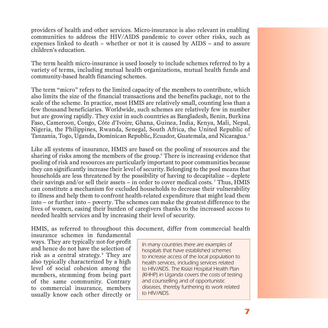providers of health and other services. Micro-insurance is also relevant in enabling communities to address the HIV/AIDS pandemic to cover other risks, such as expenses linked to death – whether or not it is caused by AIDS – and to assure children's education.

The term health micro-insurance is used loosely to include schemes referred to by a variety of terms, including mutual health organizations, mutual health funds and community-based health financing schemes.

The term "micro" refers to the limited capacity of the members to contribute, which also limits the size of the financial transactions and the benefits package, not to the scale of the scheme. In practice, most HMIS are relatively small, counting less than a few thousand beneficiaries. Worldwide, such schemes are relatively few in number but are growing rapidly. They exist in such countries as Bangladesh, Benin, Burkina Faso, Cameroon, Congo, Côte d'Ivoire, Ghana, Guinea, India, Kenya, Mali, Nepal, Nigeria, the Philippines, Rwanda, Senegal, South Africa, the United Republic of Tanzania, Togo, Uganda, Dominican Republic, Ecuador, Guatemala, and Nicaragua.<sup>5</sup>

Like all systems of insurance, HMIS are based on the pooling of resources and the sharing of risks among the members of the group.<sup>6</sup> There is increasing evidence that pooling of risk and resources are particularly important to poor communities because they can significantly increase their level of security. Belonging to the pool means that households are less threatened by the possibility of having to decapitalize – deplete their savings and/or sell their assets – in order to cover medical costs. <sup>7</sup> Thus, HMIS can constitute a mechanism for excluded households to decrease their vulnerability to illness and help them to confront health-related expenditure that might lead them into – or further into – poverty. The schemes can make the greatest difference to the lives of women, easing their burden of caregivers thanks to the increased access to needed health services and by increasing their level of security.

HMIS, as referred to throughout this document, differ from commercial health

insurance schemes in fundamental ways. They are typically not-for-profit and hence do not have the selection of risk as a central strategy.<sup>8</sup> They are also typically characterized by a high level of social cohesion among the members, stemming from being part of the same community. Contrary to commercial insurance, members usually know each other directly or

*In many countries there are examples of hospitals that have established schemes to increase access of the local population to health services, including services related to HIV/AIDS. The Kisiizi Hospital Health Plan (KHHP) in Uganda covers the costs of testing and counselling and of opportunistic diseases, thereby furthering its work related to HIV/AIDS.*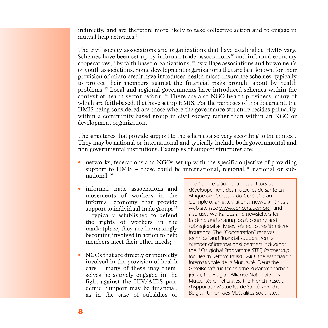indirectly, and are therefore more likely to take collective action and to engage in mutual help activities.<sup>9</sup>

The civil society associations and organizations that have established HMIS vary. Schemes have been set up by informal trade associations  $10$  and informal economy cooperatives,  $\frac{1}{1}$  by faith-based organizations,  $\frac{1}{2}$  by village associations and by women's or youth associations. Some development organizations that are best known for their provision of micro-credit have introduced health micro-insurance schemes, typically to protect their members against the financial risks brought about by health problems.<sup>13</sup> Local and regional governments have introduced schemes within the context of health sector reform.<sup>14</sup> There are also NGO health providers, many of which are faith-based, that have set up HMIS. For the purposes of this document, the HMIS being considered are those where the governance structure resides primarily within a community-based group in civil society rather than within an NGO or development organization.

The structures that provide support to the schemes also vary according to the context. They may be national or international and typically include both governmental and non-governmental institutions. Examples of support structures are:

- networks, federations and NGOs set up with the specific objective of providing support to HMIS – these could be international, regional,  $^{15}$  national or subnational; <sup>16</sup>
- informal trade associations and movements of workers in the informal economy that provide support to individual trade groups<sup>17</sup> – typically established to defend the rights of workers in the market place, they are increasingly becoming involved in action to help members meet their other needs;
- NGOs that are directly or indirectly involved in the provision of health care – many of these may themselves be actively engaged in the fight against the HIV/AIDS pandemic. Support may be financial, as in the case of subsidies or

*The "Concertation entre les acteurs du développement des mutuelles de santé en Afrique de l'Ouest et du Centre" is an example of an international network. It has a web site (see www.concertation.org) and also uses workshops and newsletters for tracking and sharing local, country and subregional activities related to health microinsurance. The "Concertation" receives technical and financial support from a number of international partners including: the ILO's global Programme STEP, Partnership for Health Reform Plus/USAID, the Association Internationale de la Mutualité, Deutsche Gesellschaft für Technische Zusammenarbeit (GTZ), the Belgian Alliance Nationale des Mutualités Chrétiennes, the French Réseau d'Appui aux Mutuelles de Santé and the Belgian Union des Mutualités Socialistes.*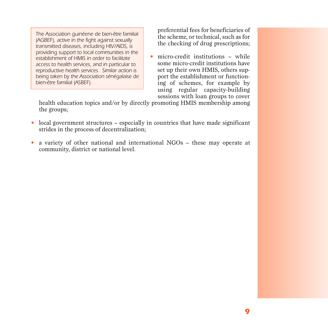*The Association guinéene de bien-être familial (AGBEF), active in the fight against sexually transmitted diseases, including HIV/AIDS, is providing support to local communities in the establishment of HMIS in order to facilitate access to health services, and in particular to reproductive health services. Similar action is being taken by the Association sénégalaise de bien-être familial (ASBEF).*

preferential fees for beneficiaries of the scheme, or technical, such as for the checking of drug prescriptions;

 $\bullet$  micro-credit institutions – while some micro-credit institutions have set up their own HMIS, others support the establishment or functioning of schemes, for example by using regular capacity-building sessions with loan groups to cover

health education topics and/or by directly promoting HMIS membership among the groups;

- local government structures especially in countries that have made significant strides in the process of decentralization;
- a variety of other national and international NGOs these may operate at community, district or national level.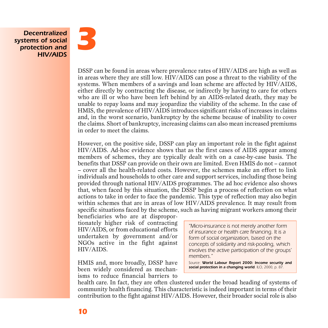*Decentralized systems of social protection and HIV/AIDS*



DSSP can be found in areas where prevalence rates of HIV/AIDS are high as well as in areas where they are still low. HIV/AIDS can pose a threat to the viability of the systems. When members of a savings and loan scheme are affected by HIV/AIDS, either directly by contracting the disease, or indirectly by having to care for others who are ill or who have been left behind by an AIDS-related death, they may be unable to repay loans and may jeopardize the viability of the scheme. In the case of HMIS, the prevalence of HIV/AIDS introduces significant risks of increases in claims and, in the worst scenario, bankruptcy by the scheme because of inability to cover the claims. Short of bankruptcy, increasing claims can also mean increased premiums in order to meet the claims.

However, on the positive side, DSSP can play an important role in the fight against HIV/AIDS. Ad-hoc evidence shows that as the first cases of AIDS appear among members of schemes, they are typically dealt with on a case-by-case basis. The benefits that DSSP can provide on their own are limited. Even HMIS do not – cannot – cover all the health-related costs. Howeve r, the schemes make an effort to link individuals and households to other care and support services, including those being provided through national HIV/AIDS programmes. The ad hoc evidence also shows that, when faced by this situation, the DSSP begin a process of reflection on what actions to take in order to face the pandemic. This type of reflection may also begin within schemes that are in areas of low  $HIV/ALDS$  prevalence. It may result from specific situations faced by the scheme, such as having migrant workers among their

beneficiaries who are at disproportionately higher risk of contracting HIV/AIDS, or from educational efforts undertaken by government and/or NGOs active in the fight against HIV/AIDS.

HMIS and, more broadly, DSSP have been widely considered as mechanisms to reduce financial barriers to *"Micro-insurance is not merely another form of insurance or health care financing. It is a form of social organization, based on the concepts of solidarity and risk-pooling, which involves the active participation of the groups' members."*

Source: *World Labour Report 2000: Income security and social protection in a changing world. ILO, 2000, p. 87.*

health care. In fact, they are often clustered under the broad heading of systems of community health financing. This characteristic is indeed important in terms of their contribution to the fight against HIV/AIDS. However, their broader social role is also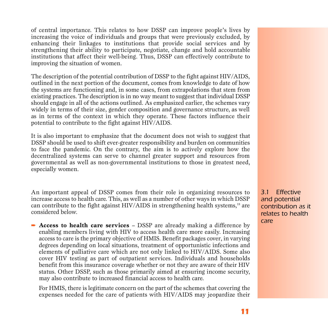of central importance. This relates to how DSSP can improve people's lives by increasing the voice of individuals and groups that were previously excluded, by enhancing their linkages to institutions that provide social services and by strengthening their ability to participate, negotiate, change and hold accountable institutions that affect their well-being. Thus, DSSP can effectively contribute to improving the situation of women.

The description of the potential contribution of DSSP to the fight against HIV/AIDS, outlined in the next portion of the document, comes from knowledge to date of how the systems are functioning and, in some cases, from extrapolations that stem from existing practices. The description is in no way meant to suggest that individual DSSP should engage in all of the actions outlined. As emphasized earlier, the schemes vary widely in terms of their size, gender composition and governance structure, as well as in terms of the context in which they operate. These factors influence their potential to contribute to the fight against HIV/AIDS.

It is also important to emphasize that the document does not wish to suggest that DSSP should be used to shift ever-greater responsibility and burden on communities to face the pandemic. On the contrary, the aim is to actively explore how the decentralized systems can serve to channel greater support and resources from g overnmental as well as non-governmental institutions to those in greatest need, especially women.

An important appeal of DSSP comes from their role in organizing resources to increase access to health care. This, as well as a number of other ways in which DSSP can contribute to the fight against HIV/AIDS in strengthening health systems, $18$  are considered below.

**► Access to health care services** – DSSP are already making a difference by enabling members living with HIV to access health care more easily. Increasing access to care is the primary objective of HMIS. Benefit packages cover, in varying degrees depending on local situations, treatment of opportunistic infections and elements of palliative care which are not only linked to HIV/AIDS. Some also c over HIV testing as part of outpatient services. Individuals and households benefit from this insurance coverage whether or not they are aware of their HIV status. Other DSSP, such as those primarily aimed at ensuring income security, may also contribute to increased financial access to health care.

For HMIS, there is legitimate concern on the part of the schemes that covering the expenses needed for the care of patients with HIV/AIDS may jeopardize their

*3.1 Effective and potential contribution as it relates to health care*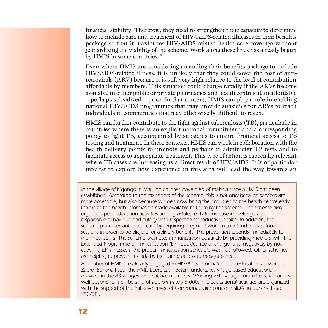financial stability. Therefore, they need to strengthen their capacity to determine how to include care and treatment of HIV/AIDS-related illnesses in their benefits package so that it maximizes  $HIV/AIDS$ -related health care coverage without jeopardizing the viability of the scheme. Work along these lines has already begun by HMIS in some countries.<sup>19</sup>

E ven where HMIS are considering amending their benefits package to include HIV/AIDS-related illness, it is unlikely that they could cover the cost of antiretrovirals (ARV) because it is still very high relative to the level of contribution affordable by members. This situation could change rapidly if the ARVs become available in either public or private pharmacies and health centres at an affordable – perhaps subsidized – price. In that context, HMIS can play a role in enabling national HIV/AIDS programmes that may provide subsidies for ARVs to reach individuals in communities that may otherwise be difficult to reach.

HMIS can further contribute to the fight against tuberculosis (TB), particularly in countries where there is an explicit national commitment and a corresponding policy to fight TB, accompanied by subsidies to ensure financial access to TB testing and treatment. In these contexts, HMIS can work in collaboration with the health delivery points to promote and perhaps to administer TB tests and to facilitate access to appropriate treatment. This type of action is especially relevant where TB cases are increasing as a direct result of HIV/AIDS. It is of particular interest to explore how experience in this area will lead the way towards an

*In the village of Ngongo in Mali, no children have died of malaria since a HMIS has been established. According to the managers of the scheme, this is not only because services are more accessible, but also because women now bring their children to the health centre early thanks to the health information made available to them by the scheme. The scheme also organizes peer education activities among adolescents to increase knowledge and responsible behaviour, particularly with respect to reproductive health. In addition, the scheme promotes ante-natal care by requiring pregnant women to attend at least four sessions in order to be eligible for delivery benefits. The prevention extends immediately to their newborns. The scheme promotes immunization positively by providing mothers with the Extended Programme of Immunization (EPI) booklet free of charge, and negatively by not covering EPI illnesses if the proper immunization schedule was not followed. Other schemes are helping to prevent malaria by facilitating access to mosquito nets.*

*A number of HMIS are already engaged in HIV/AIDS information and education activities. In Zabre, Burkina Faso, the HMIS Leere Laafi Bolem undertakes village-based educational activities in the 83 villages where it has members. Working with village committees, it reaches well beyond its membership of approximately 5,000. The educational activities are organized with the support of the Initiative Privée et Communautaire contre le SIDA au Burkina Faso (IPC/BF).*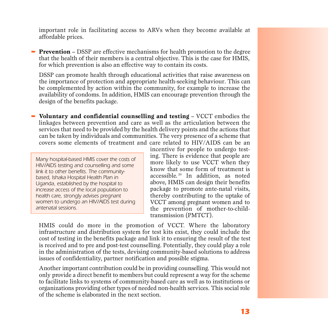important role in facilitating access to ARVs when they become available at affordable prices.

**► Prevention** – DSSP are effective mechanisms for health promotion to the degree that the health of their members is a central objective. This is the case for HMIS, for which prevention is also an effective way to contain its costs.

DSSP can promote health through educational activities that raise awareness on the importance of protection and appropriate health-seeking behaviour. This can be complemented by action within the community, for example to increase the availability of condoms. In addition, HMIS can encourage prevention through the design of the benefits package.

➨ **Voluntary and confidential counselling and testing** – VCCT embodies the lin kages between prevention and care as well as the articulation between the services that need to be provided by the health delivery points and the actions that can be taken by individuals and communities. The very presence of a scheme that c overs some elements of treatment and care related to HIV/AIDS can be an

*Many hospital-based HMIS cover the costs of HIV/AIDS testing and counselling and some link it to other benefits. The communitybased, Ishaka Hospital Health Plan in Uganda, established by the hospital to increase access of the local population to health care, strongly advises pregnant women to undergo an HIV/AIDS test during antenatal sessions.*

incentive for people to undergo testing. There is evidence that people are more likely to use VCCT when they know that some form of treatment is accessible.<sup>20</sup> In addition, as noted above, HMIS can design their benefits package to promote ante-natal visits, thereby contributing to the uptake of VCCT among pregnant women and to the prevention of mother-to-childtransmission (PMTCT).

HMIS could do more in the promotion of VCCT. Where the laboratory in f rastructure and distribution system for test kits exist, they could include the cost of testing in the benefits package and link it to ensuring the result of the test is received and to pre and post-test counselling. Potentially, they could play a role in the administration of the tests, devising community-based solutions to address issues of confidentiality, partner notification and possible stigma.

Another important contribution could be in providing counselling. This would not only provide a direct benefit to members but could represent a way for the scheme to facilitate links to systems of community-based care as well as to institutions or organizations providing other types of needed non-health services. This social role of the scheme is elaborated in the next section.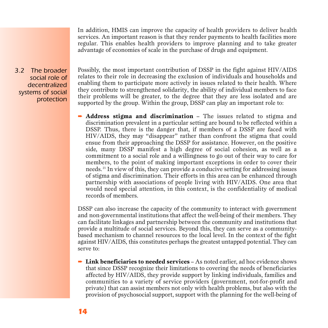In addition, HMIS can improve the capacity of health providers to deliver health services. An important reason is that they render payments to health facilities more regular. This enables health providers to improve planning and to take greater advantage of economies of scale in the purchase of drugs and equipment.

*3.2 The broader social role of decentralized systems of social protection*

Possibly, the most important contribution of DSSP in the fight against HIV/AIDS relates to their role in decreasing the exclusion of individuals and households and enabling them to participate more actively in issues related to their health. Where they contribute to strengthened solidarity, the ability of individual members to face their problems will be greater, to the degree that they are less isolated and are supported by the group. Within the group, DSSP can play an important role to:

**→ Address stigma and discrimination** – The issues related to stigma and discrimination prevalent in a particular setting are bound to be reflected within a DSSP. Thus, there is the danger that, if members of a DSSP are faced with HIV/AIDS, they may "disappear" rather than confront the stigma that could ensue from their approaching the DSSP for assistance. However, on the positive side, many DSSP manifest a high degree of social cohesion, as well as a commitment to a social role and a willingness to go out of their way to care for members, to the point of making important exceptions in order to cover their needs. <sup>21</sup> In view of this, they can provide a conducive setting for addressing issues of stigma and discrimination. Their efforts in this area can be enhanced through partnership with associations of people living with HIV/AIDS. One area that would need special attention, in this context, is the confidentiality of medical records of members.

DSSP can also increase the capacity of the community to interact with government and non-governmental institutions that affect the well-being of their members. They can facilitate linkages and partnership between the community and institutions that provide a multitude of social services. Beyond this, they can serve as a communitybased mechanism to channel resources to the local level. In the context of the fight against HIV/AIDS, this constitutes perhaps the greatest untapped potential. They can serve to:

**► Link beneficiaries to needed services** – As noted earlier, ad hoc evidence shows that since DSSP recognize their limitations to covering the needs of beneficiaries affected by HIV/AIDS, they provide support by linking individuals, families and communities to a variety of service providers (government, not-for-profit and private) that can assist members not only with health problems, but also with the provision of psychosocial support, support with the planning for the well-being of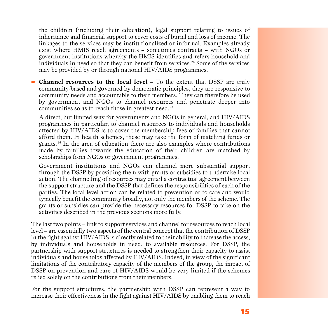the children (including their education), legal support relating to issues of inheritance and financial support to cover costs of burial and loss of income. The lin kages to the services may be institutionalized or informal. Examples already exist where HMIS reach agreements – sometimes contracts – with NGOs or government institutions whereby the HMIS identifies and refers household and individuals in need so that they can benefit from services.<sup>22</sup> Some of the services may be provided by or through national HIV/AIDS programmes.

**Channel resources to the local level –** To the extent that DSSP are truly community-based and governed by democratic principles, they are responsive to community needs and accountable to their members. They can therefore be used by government and NGOs to channel resources and penetrate deeper into communities so as to reach those in greatest need.<sup>23</sup>

A direct, but limited way for governments and NGOs in general, and HIV/AIDS programmes in particular, to channel resources to individuals and households affected by HIV/AIDS is to cover the membership fees of families that cannot afford them. In health schemes, these may take the form of matching funds or grants.<sup>24</sup> In the area of education there are also examples where contributions made by families towards the education of their children are matched by scholarships from NGOs or government programmes.

G overnment institutions and NGOs can channel more substantial support through the DSSP by providing them with grants or subsidies to undertake local action. The channelling of resources may entail a contractual agreement between the support structure and the DSSP that defines the responsibilities of each of the parties. The local level action can be related to prevention or to care and would typically benefit the community broadly, not only the members of the scheme. The grants or subsidies can provide the necessary resources for DSSP to take on the activities described in the previous sections more fully.

The last two points – link to support services and channel for resources to reach local l evel – are essentially two aspects of the central concept that the contribution of DSSP in the fight against HIV/AIDS is directly related to their ability to increase the access, by individuals and households in need, to available resources. For DSSP, the partnership with support structures is needed to strengthen their capacity to assist individuals and households affected by HIV/AIDS. Indeed, in view of the significant limitations of the contributory capacity of the members of the group, the impact of DSSP on prevention and care of HIV/AIDS would be very limited if the schemes relied solely on the contributions from their members.

For the support structures, the partnership with DSSP can represent a way to increase their effectiveness in the fight against HIV/AIDS by enabling them to reach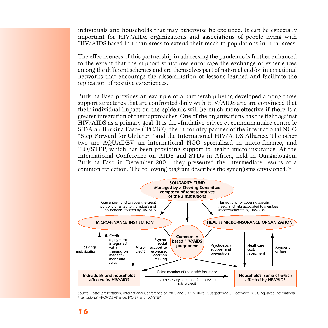individuals and households that may otherwise be excluded. It can be especially important for HIV/AIDS organizations and associations of people living with HIV/AIDS based in urban areas to extend their reach to populations in rural areas.

The effectiveness of this partnership in addressing the pandemic is further enhanced to the extent that the support structures encourage the exchange of experiences among the different schemes and are themselves part of national and/or international networks that encourage the dissemination of lessons learned and facilitate the replication of positive experiences.

Burkina Faso provides an example of a partnership being developed among three support structures that are confronted daily with HIV/AIDS and are convinced that their individual impact on the epidemic will be much more effective if there is a greater integration of their approaches. One of the organizations has the fight against HIV/AIDS as a primary goal. It is the «Initiative privée et communautaire contre le SIDA au Burkina Faso» (IPC/BF), the in-country partner of the international NGO "Step Forward for Children" and the International HIV/AIDS Alliance. The other two are AQUADEV, an international NGO specialized in micro-finance, and ILO/STEP, which has been providing support to health micro-insurance. At the International Conference on AIDS and STDs in Africa, held in Ouagadougou, Burkina Faso in December 2001, they presented the intermediate results of a common reflection. The following diagram describes the synergisms envisioned. <sup>25</sup>



*Source: Poster presentation, International Conference on AIDS and STD in Africa, Ouagadougou, December 2001, Aquaved International, International HIV/AIDS Alliance, IPC/BF and ILO/STEP*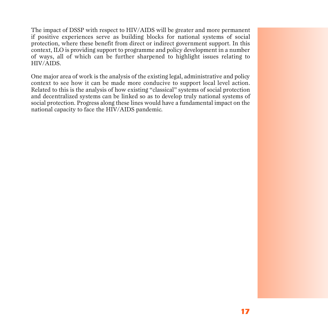The impact of DSSP with respect to HIV/AIDS will be greater and more permanent if positive experiences serve as building blocks for national systems of social protection, where these benefit from direct or indirect government support. In this context, ILO is providing support to programme and policy development in a number of ways, all of which can be further sharpened to highlight issues relating to HIV/AIDS.

One major area of work is the analysis of the existing legal, administrative and policy context to see how it can be made more conducive to support local level action. Related to this is the analysis of how existing "classical" systems of social protection and decentralized systems can be linked so as to develop truly national systems of social protection. Progress along these lines would have a fundamental impact on the national capacity to face the HIV/AIDS pandemic.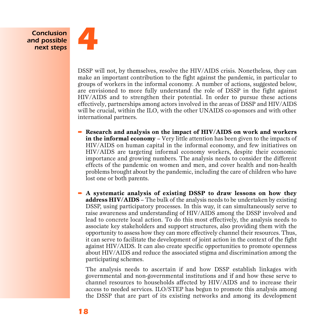*Conclusion and possible next steps*



DSSP will not, by themselves, resolve the HIV/AIDS crisis. Nonetheless, they can make an important contribution to the fight against the pandemic, in particular to groups of workers in the informal economy. A number of actions, suggested below, are envisioned to more fully understand the role of DSSP in the fight against HIV/AIDS and to strengthen their potential. In order to pursue these actions effectively, partnerships among actors involved in the areas of DSSP and HIV/AIDS will be crucial, within the ILO, with the other UNAIDS co-sponsors and with other international partners.

- ➨ **Research and analysis on the impact of HIV/AIDS on work and workers in the informal economy** – Very little attention has been given to the impacts of HIV/AIDS on human capital in the informal economy, and few initiatives on HIV/AIDS are targeting informal economy workers, despite their economic importance and growing numbers. The analysis needs to consider the different effects of the pandemic on women and men, and cover health and non-health problems brought about by the pandemic, including the care of children who have lost one or both parents.
- $\rightarrow$  **A** systematic analysis of existing DSSP to draw lessons on how they **address HIV/AIDS** – The bulk of the analysis needs to be undertaken by existing DSSP, using participatory processes. In this way, it can simultaneously serve to raise awareness and understanding of HIV/AIDS among the DSSP involved and lead to concrete local action. To do this most effectively, the analysis needs to associate key stakeholders and support structures, also providing them with the opportunity to assess how they can more effectively channel their resources. Thus, it can serve to facilitate the development of joint action in the context of the fight against HIV/AIDS. It can also create specific opportunities to promote openness about HIV/AIDS and reduce the associated stigma and discrimination among the participating schemes.

The analysis needs to ascertain if and how DSSP establish linkages with g overnmental and non-governmental institutions and if and how these serve to channel resources to households affected by HIV/AIDS and to increase their access to needed services. ILO/STEP has begun to promote this analysis among the DSSP that are part of its existing networks and among its development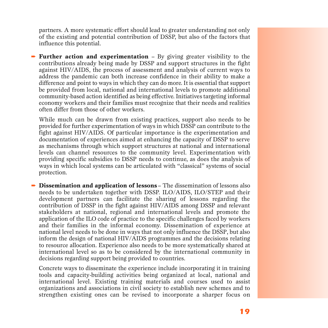partners. A more systematic effort should lead to greater understanding not only of the existing and potential contribution of DSSP, but also of the factors that influence this potential.

• **Further action and experimentation** – By giving greater visibility to the contributions already being made by DSSP and support structures in the fight against HIV/AIDS, the process of assessment and analysis of current ways to address the pandemic can both increase confidence in their ability to make a difference and point to ways in which they can do more. It is essential that support be provided from local, national and international levels to promote additional community-based action identified as being effective. Initiatives targeting informal economy workers and their families must recognize that their needs and realities often differ from those of other workers.

While much can be drawn from existing practices, support also needs to be p rovided for further experimentation of ways in which DSSP can contribute to the fight against HIV/AIDS. Of particular importance is the experimentation and documentation of experiences aimed at enhancing the capacity of DSSP to serve as mechanisms through which support structures at national and international levels can channel resources to the community level. Experimentation with p roviding specific subsidies to DSSP needs to continue, as does the analysis of ways in which local systems can be articulated with "classical" systems of social protection.

➨ **Dissemination and application of lessons** – The dissemination of lessons also needs to be undertaken together with DSSP. ILO/AIDS, ILO/STEP and their development partners can facilitate the sharing of lessons regarding the contribution of DSSP in the fight against HIV/AIDS among DSSP and relevant stakeholders at national, regional and international levels and promote the application of the ILO code of practice to the specific challenges faced by workers and their families in the informal economy. Dissemination of experience at national level needs to be done in ways that not only influence the DSSP, but also inform the design of national HIV/AIDS programmes and the decisions relating to resource allocation. Experience also needs to be more systematically shared at international level so as to be considered by the international community in decisions regarding support being provided to countries.

Concrete ways to disseminate the experience include incorporating it in training tools and capacity-building activities being organized at local, national and international level. Existing training materials and courses used to assist o rganizations and associations in civil society to establish new schemes and to strengthen existing ones can be revised to incorporate a sharper focus on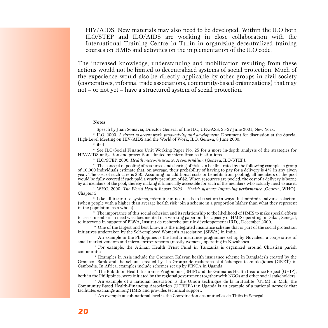HIV/AIDS. New materials may also need to be developed. Within the ILO both ILO/STEP and ILO/AIDS are working in close collaboration with the International Training Centre in Turin in organizing decentralized training courses on HMIS and activities on the implementation of the ILO code.

The increased knowledge, understanding and mobilization resulting from these actions would not be limited to decentralized systems of social protection. Much of the experience would also be directly applicable by other groups in civil society (cooperatives, informal trade associations, community-based organizations) that may not – or not yet – have a structured system of social protection.

#### **Notes**

<sup>1</sup> Speech by Juan Somavia, Director-General of the ILO, UNGASS, 25-27 June 2001, New York.

<sup>2</sup> ILO. 2000. *A threat to decent work, productivity and development*. Document for discussion at the Special High-Level Meeting on HIV/AIDS and the World of Work, ILO, Geneva, 8 June 2000.

3 ibid.

<sup>4</sup> See ILO/Social Finance Unit Working Paper No. 25 for a more in-depth analysis of the strategies for HIV/AIDS mitigation and prevention adopted by micro-finance institutions.

5 ILO/STEP. 2000. *Health micro-insurance: A compendium* (Geneva, ILO/STEP).

<sup>6</sup> The concept of pooling of resources and sharing of risk can be illustrated by the following example: a group of 10,000 individuals estimate that, on average, their probability of having to pay for a delivery is 4% in any given year. The cost of such care is \$50. Assuming no additional costs or benefits from pooling, all members of the pool would be fully covered if each paid a yearly premium of \$2. When resources are pooled, the cost of a delivery is borne by all members of the pool, thereby making it financially accessible for each of the members who actually need to use it.

<sup>7</sup> WHO. 2000. *The World Health Report 2000 – Health sustems: Improving performance* (Geneva, WHO). Chapter 5.

 $8$  Like all insurance systems, micro-insurance needs to be set up in ways that minimize adverse selection (when people with a higher than average health risk join a scheme in a proportion higher than what they represent in the population as a whole).

<sup>9</sup> The importance of this social cohesion and its relationship to the likelihood of HMIS to make special efforts to assist members in need was documented in a working paper on the capacity of HMIS operating in Dakar, Senegal, to intervene in support of PLWA, Institut de recherche pour le développement (IRD), December 2000.

<sup>10</sup> One of the largest and best known is the integrated insurance scheme that is part of the social protection initiatives undertaken by the Self-employed Women's Association (SEWA) in India.

 $11$  An example in the Philippines is the health insurance programme set up by Novadeci, a cooperative of small market vendors and micro-enrtrepreneurs (mostly women ) operating in Novaliches.

 $12$  For example, the Atiman Health Trust Fund in Tanzania is organized around Christian parish communities.

 $13$  Examples in Asia include the Gremeen Kalayan health insurance scheme in Bangladesh created by the Grameen Bank and the scheme created by the Groupe de recherche et d'échanges technologiques (GRET) in Cambodia. In Africa, examples include schemes set up by FINCA in Uganda.

<sup>14</sup> The Bukidnon Health Insurance Programme (BHIP) and the Guimaras Health Insurance Project (GHIP), both in the Philippines, were initiated by the regional government together with NGOs and other social stakeholders.

<sup>15</sup> An example of a national federation is the Union technique de la mutualité (UTM) in Mali; the Community Based Health-Financing Association (UCBHFA) in Uganda is an example of a national network that facilitates exchange among HMIS and provides technical support.

<sup>16</sup> An example at sub-national level is the Coordination des mutuelles de Thiès in Senegal.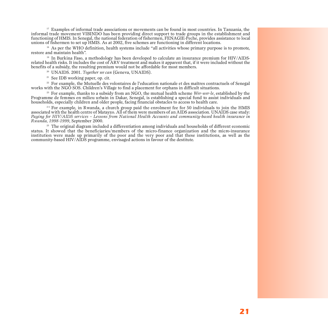<sup>17</sup> Examples of informal trade associations or movements can be found in most countries. In Tanzania, the informal trade movement VIBINDO has been providing direct support to trade groups in the establishment and functioning of HMIS. In Senegal, the national federation of fishermen, FENAGIE-Peche, provides assistance to local unions of fishermen to set up HMIS. As at 2002, five schemes are functioning in different locations.

<sup>18</sup> As per the WHO definition, health systems include "all activities whose primary purpose is to promote, restore and maintain health".

<sup>19</sup> In Burkina Faso, a methodology has been developed to calculate an insurance premium for HIV/AIDSrelated health risks. It includes the cost of ARV treatment and makes it apparent that, if it were included without the benefits of a subsidy, the resulting premium would not be affordable for most members.

<sup>20</sup> UNAIDS. 2001. *Together we can* (Geneva, UNAIDS).

<sup>21</sup> See IDB working paper, op. cit.

<sup>22</sup> For example, the Mutuelle des volontaires de l'education nationale et des maîtres contractuels of Senegal works with the NGO SOS. Children's Village to find a placement for orphans in difficult situations.

<sup>23</sup> For example, thanks to a subsidy from an NGO, the mutual health scheme *Wer-wer-le*, established by the Programme de femmes en milieu urbain in Dakar, Senegal, is establishing a special fund to assist individuals and households, especially children and older people, facing financial obstacles to access to health care.

 $24$  For example, in Rwanda, a church group paid the enrolment fee for 50 individuals to join the HMIS associated with the health centre of Matayzo. All of them were members of an AIDS association. UNAIDS case study: *Paying for HIV/AIDS services – Lessons from National Health Accounts and community-based health insurance in Rwanda, 1998-1999*, September 2000.

<sup>25</sup> The original diagram included a differentiation among individuals and households of different economic status. It showed that the beneficiaries/members of the micro-finance organization and the micro-insurance institution were made up primarily of the poor and the very poor and that these institutions, as well as the community-based HIV/AIDS programme, envisaged actions in favour of the destitute.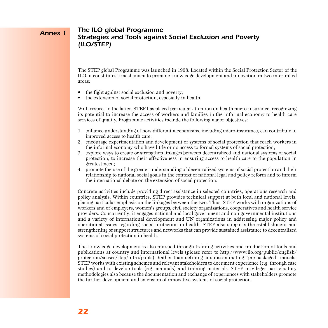#### *The ILO global Programme Strategies and Tools against Social Exclusion and Poverty (ILO/STEP) Annex 1*

The STEP global Programme was launched in 1998. Located within the Social Protection Sector of the ILO, it constitutes a mechanism to promote knowledge development and innovation in two interlinked areas:

- the fight against social exclusion and poverty;
- the extension of social protection, especially in health.

With respect to the latter, STEP has placed particular attention on health micro-insurance, recognizing its potential to increase the access of workers and families in the informal economy to health care services of quality. Programme activities include the following major objectives:

- 1. enhance understanding of how different mechanisms, including micro-insurance, can contribute to improved access to health care;
- 2. encourage experimentation and development of systems of social protection that reach workers in the informal economy who have little or no access to formal systems of social protection;
- 3. explore ways to create or strengthen linkages between decentralized and national systems of social p rotection, to increase their effectiveness in ensuring access to health care to the population in greatest need;
- 4. promote the use of the greater understanding of decentralized systems of social protection and their relationship to national social goals in the context of national legal and policy reform and to inform the international debate on the extension of social protection.

Concrete activities include providing direct assistance in selected countries, operations research and policy analysis. Within countries, STEP provides technical support at both local and national levels, placing particular emphasis on the linkages between the two. Thus, STEP works with organizations of workers and of employers, women's groups, civil society organizations, cooperatives and health service providers. Concurrently, it engages national and local government and non-governmental institutions and a variety of international development and UN organizations in addressing major policy and operational issues regarding social protection in health. STEP also supports the establishment and strengthening of support structures and networks that can provide sustained assistance to decentralized systems of social protection in health.

The knowledge development is also pursued through training activities and production of tools and publications at country and international levels (please refer to http://www.ilo.org/public/english/ protection/socsec/step/intro/publs). Rather than defining and disseminating "pre-packaged" models, STEP works with existing schemes and relevant stakeholders to document experience (e.g. through case studies) and to develop tools (e.g. manuals) and training materials. STEP privileges participatory methodologies also because the documentation and exchange of experiences with stakeholders promote the further development and extension of innovative systems of social protection.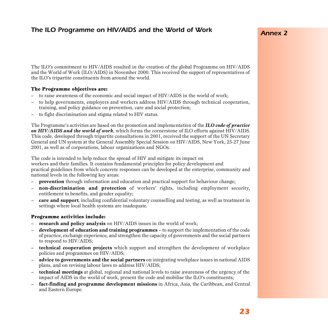## *The ILO Programme on HIV/AIDS and the World of Work*

### *Annex 2*

The ILO's commitment to HIV/AIDS resulted in the creation of the global Programme on HIV/AIDS and the World of Work (ILO/AIDS) in November 2000. This received the support of representatives of the ILO's tripartite constituents from around the world.

#### The Programme objectives are:

- to raise awareness of the economic and social impact of HIV/AIDS in the world of work;
- to help governments, employers and workers address HIV/AIDS through technical cooperation, training, and policy guidance on prevention, care and social protection;
- to fight discrimination and stigma related to HIV status.

The Programme's activities are based on the promotion and implementation of the *ILO code of practice on HIV/AIDS and the world of work*, which forms the cornerstone of ILO efforts against HIV/AIDS. This code, developed through tripartite consultations in 2001, received the support of the UN Secretary General and UN system at the General Assembly Special Session on HIV/AIDS, New York, 25-27 June 2001, as well as of corporations, labour organizations and NGOs.

The code is intended to help reduce the spread of HIV and mitigate its impact on workers and their families. It contains fundamental principles for policy development and practical guidelines from which concrete responses can be developed at the enterprise, community and national levels in the following key areas:

- **prevention** through information and education and practical support for behaviour change;
- non-discrimination and protection of workers' rights, including employment security, entitlement to benefits, and gender equality;
- **care and support**, including confidential voluntary counselling and testing, as well as treatment in settings where local health systems are inadequate.

#### Programme activities include:

- **research and policy analysis** on HIV/AIDS issues in the world of work;
- **development of education and training programmes** to support the implementation of the code of practice, exchange experience, and strengthen the capacity of governments and the social partners to respond to HIV/AIDS;
- **technical cooperation projects** which support and strengthen the development of workplace policies and programmes on HIV/AIDS;
- **advice to governments and the social partners** on integrating workplace issues in national AIDS plans, and on revising labour laws to address HIV/AIDS;
- **technical meetings** at global, regional and national levels to raise awareness of the urgency of the impact of AIDS in the world of work, present the code and mobilise the ILO's constituents;
- **fact-finding and programme development missions** in Africa, Asia, the Caribbean, and Central and Eastern Europe.